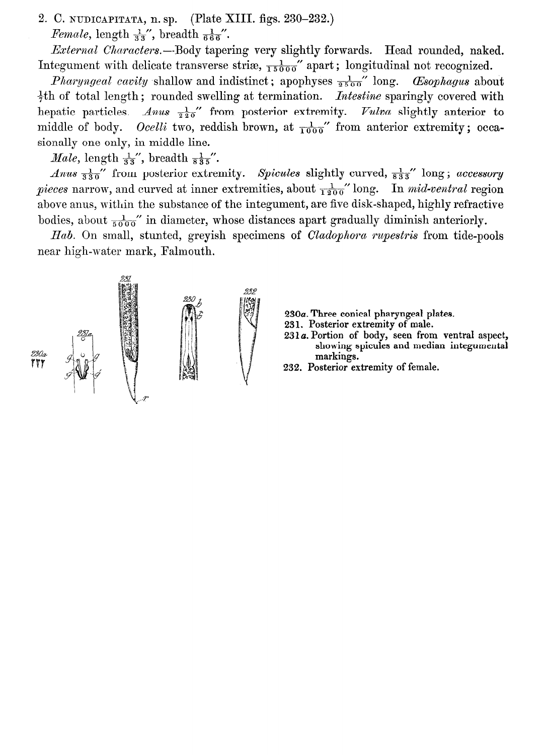2. C. NUDICAPITATA, n. sp. (Plate XIII. figs. 230-232.) *Female*, length  $\frac{1}{33}$ , breadth  $\frac{1}{666}$ .

External Characters.--Body tapering very slightly forwards. Head rounded, naked. Integument with delicate transverse stri $\mathfrak{e}_{1, \overline{1, 5000}}$  apart; longitudinal not recognized.

*Pharyngeal cavity* shallow and indistinct; apophyses  $\frac{1}{2500}$  long. *Csophagus* about  $\frac{1}{2}$ th of total length; rounded swelling at termination. *Intestine* sparingly covered with hepatic particles. Anus  $\frac{1}{20}$  from posterior extremity. Vulva slightly anterior to middle of body. *Ocelli* two, reddish brown, at  $\frac{1}{1000}$  from anterior extremity; occasionally one only, in middle line.

*Male*, length  $\frac{1}{33}$ , breadth  $\frac{1}{835}$ .

*Anus*  $\frac{1}{830}$  from posterior extremity. *Spicules* slightly curved,  $\frac{1}{833}$  long; *accessory* pieces narrow, and curved at inner extremities, about  $\frac{1}{1200}$ " long. In mid-ventral region above anus, within the substance of the integument, are five disk-shaped, highly refractive bodies, about  $\frac{1}{5000}$ " in diameter, whose distances apart gradually diminish anteriorly.

Hab. On small, stunted, greyish specimens of *Cladophora rupestris* from tide-pools near high-water mark, Falmouth.



- 230a. Three conical pharyngeal plates.
- 231, Posterior extremity of male.
- 231 a. Portion of body, seen from ventral aspect, showing spicules and median integumental markings.
- 232. Posterior extremity of female.